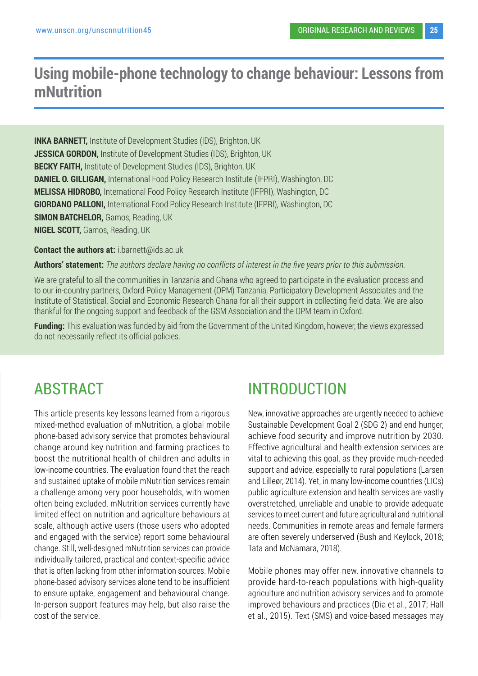## **Using mobile-phone technology to change behaviour: Lessons from mNutrition**

**INKA BARNETT,** Institute of Development Studies (IDS), Brighton, UK **JESSICA GORDON,** Institute of Development Studies (IDS), Brighton, UK **BECKY FAITH,** Institute of Development Studies (IDS), Brighton, UK **DANIEL O. GILLIGAN, International Food Policy Research Institute (IFPRI), Washington, DC MELISSA HIDROBO,** International Food Policy Research Institute (IFPRI), Washington, DC **GIORDANO PALLONI,** International Food Policy Research Institute (IFPRI), Washington, DC **SIMON BATCHELOR, Gamos, Reading, UK NIGEL SCOTT,** Gamos, Reading, UK

**Contact the authors at:** i.barnett@ids.ac.uk

**Authors' statement:** *The authors declare having no conflicts of interest in the five years prior to this submission.* 

We are grateful to all the communities in Tanzania and Ghana who agreed to participate in the evaluation process and to our in-country partners, Oxford Policy Management (OPM) Tanzania, Participatory Development Associates and the Institute of Statistical, Social and Economic Research Ghana for all their support in collecting field data. We are also thankful for the ongoing support and feedback of the GSM Association and the OPM team in Oxford.

**Funding:** This evaluation was funded by aid from the Government of the United Kingdom, however, the views expressed do not necessarily reflect its official policies.

# ABSTRACT

This article presents key lessons learned from a rigorous mixed-method evaluation of mNutrition, a global mobile phone-based advisory service that promotes behavioural change around key nutrition and farming practices to boost the nutritional health of children and adults in low-income countries. The evaluation found that the reach and sustained uptake of mobile mNutrition services remain a challenge among very poor households, with women often being excluded. mNutrition services currently have limited effect on nutrition and agriculture behaviours at scale, although active users (those users who adopted and engaged with the service) report some behavioural change. Still, well-designed mNutrition services can provide individually tailored, practical and context-specific advice that is often lacking from other information sources. Mobile phone-based advisory services alone tend to be insufficient to ensure uptake, engagement and behavioural change. In-person support features may help, but also raise the cost of the service.

# INTRODUCTION

New, innovative approaches are urgently needed to achieve Sustainable Development Goal 2 (SDG 2) and end hunger, achieve food security and improve nutrition by 2030. Effective agricultural and health extension services are vital to achieving this goal, as they provide much-needed support and advice, especially to rural populations (Larsen and Lilleør, 2014). Yet, in many low-income countries (LICs) public agriculture extension and health services are vastly overstretched, unreliable and unable to provide adequate services to meet current and future agricultural and nutritional needs. Communities in remote areas and female farmers are often severely underserved (Bush and Keylock, 2018; Tata and McNamara, 2018).

Mobile phones may offer new, innovative channels to provide hard-to-reach populations with high-quality agriculture and nutrition advisory services and to promote improved behaviours and practices (Dia et al., 2017; Hall et al., 2015). Text (SMS) and voice-based messages may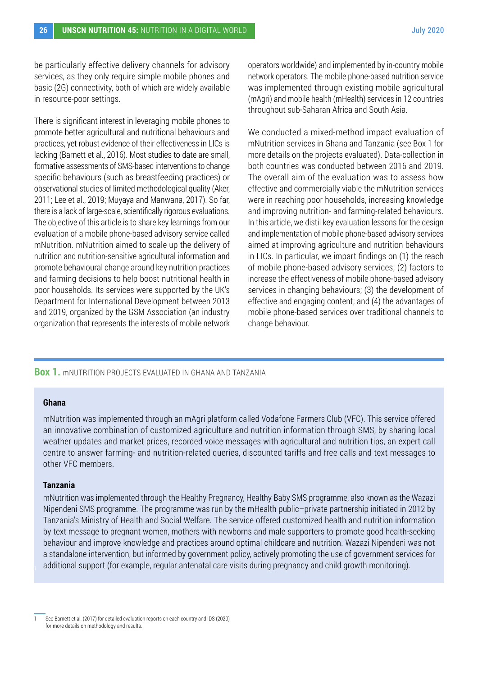be particularly effective delivery channels for advisory services, as they only require simple mobile phones and basic (2G) connectivity, both of which are widely available in resource-poor settings.

There is significant interest in leveraging mobile phones to promote better agricultural and nutritional behaviours and practices, yet robust evidence of their effectiveness in LICs is lacking (Barnett et al., 2016). Most studies to date are small, formative assessments of SMS-based interventions to change specific behaviours (such as breastfeeding practices) or observational studies of limited methodological quality (Aker, 2011; Lee et al., 2019; Muyaya and Manwana, 2017). So far, there is a lack of large-scale, scientifically rigorous evaluations. The objective of this article is to share key learnings from our evaluation of a mobile phone-based advisory service called mNutrition. mNutrition aimed to scale up the delivery of nutrition and nutrition-sensitive agricultural information and promote behavioural change around key nutrition practices and farming decisions to help boost nutritional health in poor households. Its services were supported by the UK's Department for International Development between 2013 and 2019, organized by the GSM Association (an industry organization that represents the interests of mobile network operators worldwide) and implemented by in-country mobile network operators. The mobile phone-based nutrition service was implemented through existing mobile agricultural (mAgri) and mobile health (mHealth) services in 12 countries throughout sub-Saharan Africa and South Asia.

We conducted a mixed-method impact evaluation of mNutrition services in Ghana and Tanzania (see Box 1 for more details on the projects evaluated). Data-collection in both countries was conducted between 2016 and 2019. The overall aim of the evaluation was to assess how effective and commercially viable the mNutrition services were in reaching poor households, increasing knowledge and improving nutrition- and farming-related behaviours. In this article, we distil key evaluation lessons for the design and implementation of mobile phone-based advisory services aimed at improving agriculture and nutrition behaviours in LICs. In particular, we impart findings on (1) the reach of mobile phone-based advisory services; (2) factors to increase the effectiveness of mobile phone-based advisory services in changing behaviours; (3) the development of effective and engaging content; and (4) the advantages of mobile phone-based services over traditional channels to change behaviour.

#### **Box 1.** mNUTRITION PROJECTS EVALUATED IN GHANA AND TANZANIA

#### **Ghana**

mNutrition was implemented through an mAgri platform called Vodafone Farmers Club (VFC). This service offered an innovative combination of customized agriculture and nutrition information through SMS, by sharing local weather updates and market prices, recorded voice messages with agricultural and nutrition tips, an expert call centre to answer farming- and nutrition-related queries, discounted tariffs and free calls and text messages to other VFC members.

#### **Tanzania**

mNutrition was implemented through the Healthy Pregnancy, Healthy Baby SMS programme, also known as the Wazazi Nipendeni SMS programme. The programme was run by the mHealth public–private partnership initiated in 2012 by Tanzania's Ministry of Health and Social Welfare. The service offered customized health and nutrition information by text message to pregnant women, mothers with newborns and male supporters to promote good health-seeking behaviour and improve knowledge and practices around optimal childcare and nutrition. Wazazi Nipendeni was not a standalone intervention, but informed by government policy, actively promoting the use of government services for additional support (for example, regular antenatal care visits during pregnancy and child growth monitoring). <sup>1</sup>

<sup>1</sup> See Barnett et al. (2017) for detailed evaluation reports on each country and IDS (2020) for more details on methodology and results.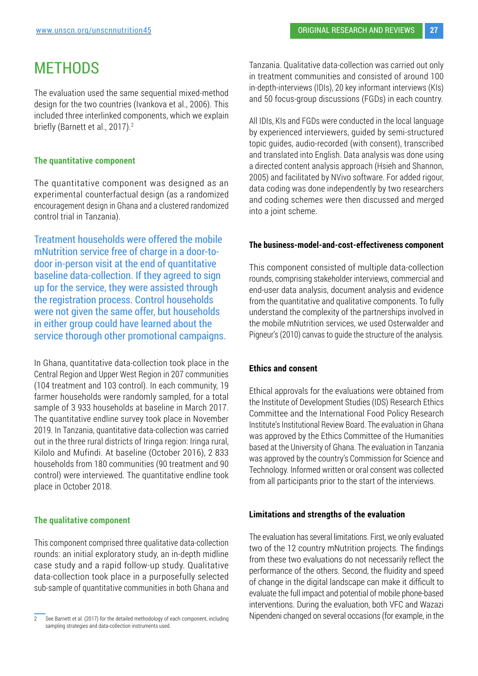## **METHODS**

The evaluation used the same sequential mixed-method design for the two countries (Ivankova et al., 2006). This included three interlinked components, which we explain briefly (Barnett et al., 2017).<sup>2</sup>

#### **The quantitative component**

The quantitative component was designed as an experimental counterfactual design (as a randomized encouragement design in Ghana and a clustered randomized control trial in Tanzania).

Treatment households were offered the mobile mNutrition service free of charge in a door-todoor in-person visit at the end of quantitative baseline data-collection. If they agreed to sign up for the service, they were assisted through the registration process. Control households were not given the same offer, but households in either group could have learned about the service thorough other promotional campaigns.

In Ghana, quantitative data-collection took place in the Central Region and Upper West Region in 207 communities (104 treatment and 103 control). In each community, 19 farmer households were randomly sampled, for a total sample of 3 933 households at baseline in March 2017. The quantitative endline survey took place in November 2019. In Tanzania, quantitative data-collection was carried out in the three rural districts of Iringa region: Iringa rural, Kilolo and Mufindi. At baseline (October 2016), 2 833 households from 180 communities (90 treatment and 90 control) were interviewed. The quantitative endline took place in October 2018.

#### **The qualitative component**

This component comprised three qualitative data-collection rounds: an initial exploratory study, an in-depth midline case study and a rapid follow-up study. Qualitative data-collection took place in a purposefully selected sub-sample of quantitative communities in both Ghana and Tanzania. Qualitative data-collection was carried out only in treatment communities and consisted of around 100 in-depth-interviews (IDIs), 20 key informant interviews (KIs) and 50 focus-group discussions (FGDs) in each country.

All IDIs, KIs and FGDs were conducted in the local language by experienced interviewers, guided by semi-structured topic guides, audio-recorded (with consent), transcribed and translated into English. Data analysis was done using a directed content analysis approach (Hsieh and Shannon, 2005) and facilitated by NVivo software. For added rigour, data coding was done independently by two researchers and coding schemes were then discussed and merged into a joint scheme.

#### **The business-model-and-cost-effectiveness component**

This component consisted of multiple data-collection rounds, comprising stakeholder interviews, commercial and end-user data analysis, document analysis and evidence from the quantitative and qualitative components. To fully understand the complexity of the partnerships involved in the mobile mNutrition services, we used Osterwalder and Pigneur's (2010) canvas to guide the structure of the analysis.

#### **Ethics and consent**

Ethical approvals for the evaluations were obtained from the Institute of Development Studies (IDS) Research Ethics Committee and the International Food Policy Research Institute's Institutional Review Board. The evaluation in Ghana was approved by the Ethics Committee of the Humanities based at the University of Ghana. The evaluation in Tanzania was approved by the country's Commission for Science and Technology. Informed written or oral consent was collected from all participants prior to the start of the interviews.

#### **Limitations and strengths of the evaluation**

The evaluation has several limitations. First, we only evaluated two of the 12 country mNutrition projects. The findings from these two evaluations do not necessarily reflect the performance of the others. Second, the fluidity and speed of change in the digital landscape can make it difficult to evaluate the full impact and potential of mobile phone-based interventions. During the evaluation, both VFC and Wazazi Nipendeni changed on several occasions (for example, in the

<sup>2</sup> See Barnett et al. (2017) for the detailed methodology of each component, including sampling strategies and data-collection instruments used.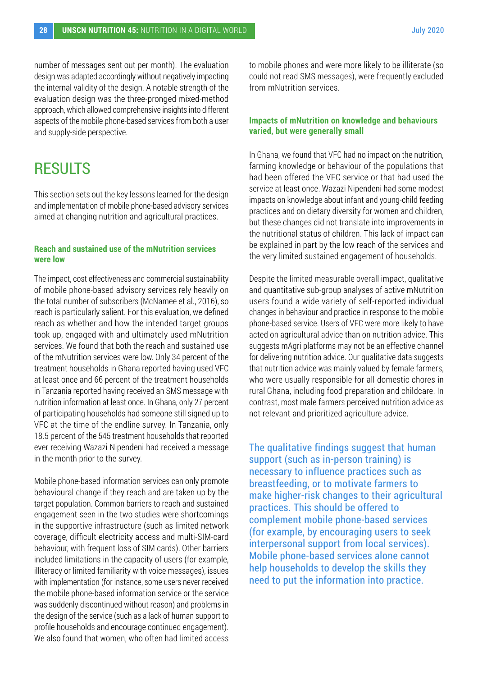number of messages sent out per month). The evaluation design was adapted accordingly without negatively impacting the internal validity of the design. A notable strength of the evaluation design was the three-pronged mixed-method approach, which allowed comprehensive insights into different aspects of the mobile phone-based services from both a user and supply-side perspective.

## **RESULTS**

This section sets out the key lessons learned for the design and implementation of mobile phone-based advisory services aimed at changing nutrition and agricultural practices.

#### **Reach and sustained use of the mNutrition services were low**

The impact, cost effectiveness and commercial sustainability of mobile phone-based advisory services rely heavily on the total number of subscribers (McNamee et al., 2016), so reach is particularly salient. For this evaluation, we defined reach as whether and how the intended target groups took up, engaged with and ultimately used mNutrition services. We found that both the reach and sustained use of the mNutrition services were low. Only 34 percent of the treatment households in Ghana reported having used VFC at least once and 66 percent of the treatment households in Tanzania reported having received an SMS message with nutrition information at least once. In Ghana, only 27 percent of participating households had someone still signed up to VFC at the time of the endline survey. In Tanzania, only 18.5 percent of the 545 treatment households that reported ever receiving Wazazi Nipendeni had received a message in the month prior to the survey.

Mobile phone-based information services can only promote behavioural change if they reach and are taken up by the target population. Common barriers to reach and sustained engagement seen in the two studies were shortcomings in the supportive infrastructure (such as limited network coverage, difficult electricity access and multi-SIM-card behaviour, with frequent loss of SIM cards). Other barriers included limitations in the capacity of users (for example, illiteracy or limited familiarity with voice messages), issues with implementation (for instance, some users never received the mobile phone-based information service or the service was suddenly discontinued without reason) and problems in the design of the service (such as a lack of human support to profile households and encourage continued engagement). We also found that women, who often had limited access

to mobile phones and were more likely to be illiterate (so could not read SMS messages), were frequently excluded from mNutrition services.

#### **Impacts of mNutrition on knowledge and behaviours varied, but were generally small**

In Ghana, we found that VFC had no impact on the nutrition, farming knowledge or behaviour of the populations that had been offered the VFC service or that had used the service at least once. Wazazi Nipendeni had some modest impacts on knowledge about infant and young-child feeding practices and on dietary diversity for women and children, but these changes did not translate into improvements in the nutritional status of children. This lack of impact can be explained in part by the low reach of the services and the very limited sustained engagement of households.

Despite the limited measurable overall impact, qualitative and quantitative sub-group analyses of active mNutrition users found a wide variety of self-reported individual changes in behaviour and practice in response to the mobile phone-based service. Users of VFC were more likely to have acted on agricultural advice than on nutrition advice. This suggests mAgri platforms may not be an effective channel for delivering nutrition advice. Our qualitative data suggests that nutrition advice was mainly valued by female farmers, who were usually responsible for all domestic chores in rural Ghana, including food preparation and childcare. In contrast, most male farmers perceived nutrition advice as not relevant and prioritized agriculture advice.

The qualitative findings suggest that human support (such as in-person training) is necessary to influence practices such as breastfeeding, or to motivate farmers to make higher-risk changes to their agricultural practices. This should be offered to complement mobile phone-based services (for example, by encouraging users to seek interpersonal support from local services). Mobile phone-based services alone cannot help households to develop the skills they need to put the information into practice.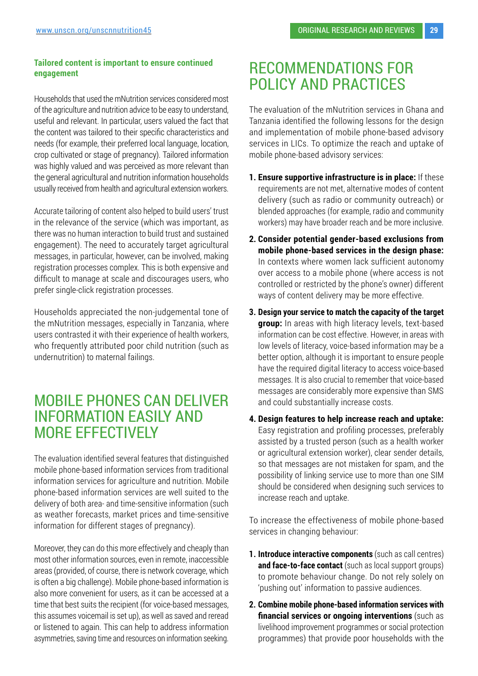#### **Tailored content is important to ensure continued engagement**

Households that used the mNutrition services considered most of the agriculture and nutrition advice to be easy to understand, useful and relevant. In particular, users valued the fact that the content was tailored to their specific characteristics and needs (for example, their preferred local language, location, crop cultivated or stage of pregnancy). Tailored information was highly valued and was perceived as more relevant than the general agricultural and nutrition information households usually received from health and agricultural extension workers.

Accurate tailoring of content also helped to build users' trust in the relevance of the service (which was important, as there was no human interaction to build trust and sustained engagement). The need to accurately target agricultural messages, in particular, however, can be involved, making registration processes complex. This is both expensive and difficult to manage at scale and discourages users, who prefer single-click registration processes.

Households appreciated the non-judgemental tone of the mNutrition messages, especially in Tanzania, where users contrasted it with their experience of health workers, who frequently attributed poor child nutrition (such as undernutrition) to maternal failings.

### MOBILE PHONES CAN DELIVER INFORMATION EASILY AND MORE EFFECTIVELY

The evaluation identified several features that distinguished mobile phone-based information services from traditional information services for agriculture and nutrition. Mobile phone-based information services are well suited to the delivery of both area- and time-sensitive information (such as weather forecasts, market prices and time-sensitive information for different stages of pregnancy).

Moreover, they can do this more effectively and cheaply than most other information sources, even in remote, inaccessible areas (provided, of course, there is network coverage, which is often a big challenge). Mobile phone-based information is also more convenient for users, as it can be accessed at a time that best suits the recipient (for voice-based messages, this assumes voicemail is set up), as well as saved and reread or listened to again. This can help to address information asymmetries, saving time and resources on information seeking.

### RECOMMENDATIONS FOR POLICY AND PRACTICES

The evaluation of the mNutrition services in Ghana and Tanzania identified the following lessons for the design and implementation of mobile phone-based advisory services in LICs. To optimize the reach and uptake of mobile phone-based advisory services:

- **1. Ensure supportive infrastructure is in place:** If these requirements are not met, alternative modes of content delivery (such as radio or community outreach) or blended approaches (for example, radio and community workers) may have broader reach and be more inclusive.
- **2. Consider potential gender-based exclusions from mobile phone-based services in the design phase:**  In contexts where women lack sufficient autonomy over access to a mobile phone (where access is not controlled or restricted by the phone's owner) different ways of content delivery may be more effective.
- **3. Design your service to match the capacity of the target group:** In areas with high literacy levels, text-based information can be cost effective. However, in areas with low levels of literacy, voice-based information may be a better option, although it is important to ensure people have the required digital literacy to access voice-based messages. It is also crucial to remember that voice-based messages are considerably more expensive than SMS and could substantially increase costs.
- **4. Design features to help increase reach and uptake:**  Easy registration and profiling processes, preferably assisted by a trusted person (such as a health worker or agricultural extension worker), clear sender details, so that messages are not mistaken for spam, and the possibility of linking service use to more than one SIM should be considered when designing such services to increase reach and uptake.

To increase the effectiveness of mobile phone-based services in changing behaviour:

- **1. Introduce interactive components** (such as call centres) **and face-to-face contact** (such as local support groups) to promote behaviour change. Do not rely solely on 'pushing out' information to passive audiences.
- **2. Combine mobile phone-based information services with financial services or ongoing interventions** (such as livelihood improvement programmes or social protection programmes) that provide poor households with the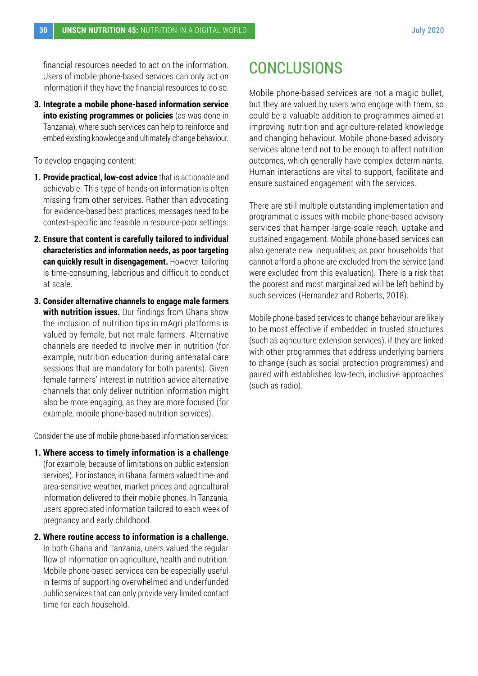financial resources needed to act on the information. Users of mobile phone-based services can only act on information if they have the financial resources to do so.

**3. Integrate a mobile phone-based information service into existing programmes or policies** (as was done in Tanzania), where such services can help to reinforce and embed existing knowledge and ultimately change behaviour.

To develop engaging content:

- **1. Provide practical, low-cost advice** that is actionable and achievable. This type of hands-on information is often missing from other services. Rather than advocating for evidence-based best practices, messages need to be context-specific and feasible in resource-poor settings.
- **2. Ensure that content is carefully tailored to individual characteristics and information needs, as poor targeting can quickly result in disengagement.** However, tailoring is time-consuming, laborious and difficult to conduct at scale.
- **3. Consider alternative channels to engage male farmers with nutrition issues.** Our findings from Ghana show the inclusion of nutrition tips in mAgri platforms is valued by female, but not male farmers. Alternative channels are needed to involve men in nutrition (for example, nutrition education during antenatal care sessions that are mandatory for both parents). Given female farmers' interest in nutrition advice alternative channels that only deliver nutrition information might also be more engaging, as they are more focused (for example, mobile phone-based nutrition services).

Consider the use of mobile phone-based information services:

- **1. Where access to timely information is a challenge** (for example, because of limitations on public extension services). For instance, in Ghana, farmers valued time- and area-sensitive weather, market prices and agricultural information delivered to their mobile phones. In Tanzania, users appreciated information tailored to each week of pregnancy and early childhood.
- **2. Where routine access to information is a challenge.**  In both Ghana and Tanzania, users valued the regular flow of information on agriculture, health and nutrition. Mobile phone-based services can be especially useful in terms of supporting overwhelmed and underfunded public services that can only provide very limited contact time for each household.

# **CONCLUSIONS**

Mobile phone-based services are not a magic bullet, but they are valued by users who engage with them, so could be a valuable addition to programmes aimed at improving nutrition and agriculture-related knowledge and changing behaviour. Mobile phone-based advisory services alone tend not to be enough to affect nutrition outcomes, which generally have complex determinants. Human interactions are vital to support, facilitate and ensure sustained engagement with the services.

There are still multiple outstanding implementation and programmatic issues with mobile phone-based advisory services that hamper large-scale reach, uptake and sustained engagement. Mobile phone-based services can also generate new inequalities, as poor households that cannot afford a phone are excluded from the service (and were excluded from this evaluation). There is a risk that the poorest and most marginalized will be left behind by such services (Hernandez and Roberts, 2018).

Mobile phone-based services to change behaviour are likely to be most effective if embedded in trusted structures (such as agriculture extension services), if they are linked with other programmes that address underlying barriers to change (such as social protection programmes) and paired with established low-tech, inclusive approaches (such as radio).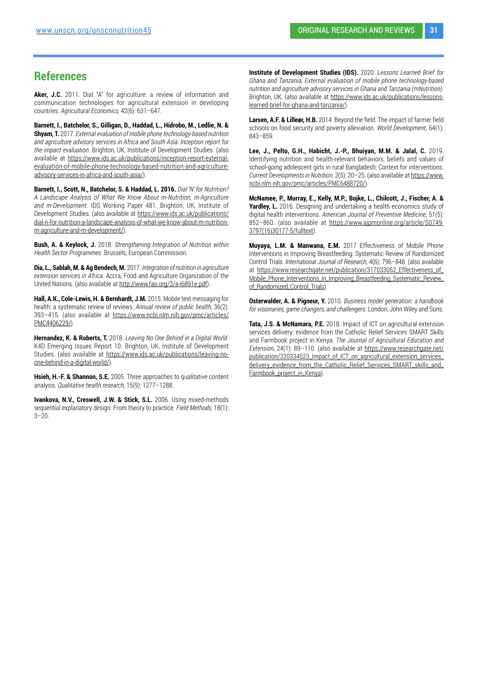#### **References**

Aker, J.C. 2011. Dial "A" for agriculture: a review of information and communication technologies for agricultural extension in developing countries. *Agricultural Economics,* 42(6): 631–647.

**Barnett, I., Batchelor, S., Gilligan, D., Haddad, L., Hidrobo, M., Ledlie, N. & Shyam, T.** 2017. *External evaluation of mobile phone technology-based nutrition and agriculture advisory services in Africa and South Asia: Inception report for the impact evaluation*. Brighton, UK, Institute of Development Studies. (also available at [https://www.ids.ac.uk/publications/inception-report-external](https://www.ids.ac.uk/publications/inception-report-external-evaluation-of-mobile-phone-technology-b)[evaluation-of-mobile-phone-technology-based-nutrition-and-agriculture](https://www.ids.ac.uk/publications/inception-report-external-evaluation-of-mobile-phone-technology-b)[advisory-services-in-africa-and-south-asia/](https://www.ids.ac.uk/publications/inception-report-external-evaluation-of-mobile-phone-technology-b)).

**Barnett, I., Scott, N., Batchelor, S. & Haddad, L. 2016.** *Dial 'N' for Nutrition? A Landscape Analysis of What We Know About m-Nutrition, m-Agriculture and m-Development*. IDS Working Paper 481. Brighton, UK, Institute of Development Studies. (also available at [https://www.ids.ac.uk/publications/](https://www.ids.ac.uk/publications/dial-n-for-nutrition-a-landscape-analysis-of-what-we-know-about-m) [dial-n-for-nutrition-a-landscape-analysis-of-what-we-know-about-m-nutrition](https://www.ids.ac.uk/publications/dial-n-for-nutrition-a-landscape-analysis-of-what-we-know-about-m)[m-agriculture-and-m-development/\)](https://www.ids.ac.uk/publications/dial-n-for-nutrition-a-landscape-analysis-of-what-we-know-about-m).

**Bush, A. & Keylock, J.** 2018. *Strengthening Integration of Nutrition within Health Sector Programmes*. Brussels, European Commission.

**Dia, L., Sablah, M. & Ag Bendech, M.** 2017. *Integration of nutrition in agriculture extension services in Africa*. Accra, Food and Agriculture Organization of the United Nations. (also available at <http://www.fao.org/3/a-i6891e.pdf>).

**Hall, A.K., Cole-Lewis, H. & Bernhardt, J.M.** 2015. Mobile text messaging for health: a systematic review of reviews. *Annual review of public health,* 36(2): 393–415. (also available at [https://www.ncbi.nlm.nih.gov/pmc/articles/](https://www.ncbi.nlm.nih.gov/pmc/articles/PMC4406229/) [PMC4406229/](https://www.ncbi.nlm.nih.gov/pmc/articles/PMC4406229/)).

**Hernandez, K. & Roberts, T.** 2018. *Leaving No One Behind in a Digital World*. K4D Emerging Issues Report 10. Brighton, UK, Institute of Development Studies. (also available at [https://www.ids.ac.uk/publications/leaving-no](https://www.ids.ac.uk/publications/leaving-no-one-behind-in-a-digital-world/)[one-behind-in-a-digital-world/\)](https://www.ids.ac.uk/publications/leaving-no-one-behind-in-a-digital-world/).

**Hsieh, H.-F. & Shannon, S.E.** 2005. Three approaches to qualitative content analysis. *Qualitative health research,* 15(9): 1277–1288.

**Ivankova, N.V., Creswell, J.W. & Stick, S.L.** 2006. Using mixed-methods sequential explanatory design: From theory to practice. *Field Methods,* 18(1):  $3 - 20$ 

**Institute of Development Studies (IDS).** 2020. *Lessons Learned Brief for Ghana and Tanzania, External evaluation of mobile phone technology-based nutrition and agriculture advisory services in Ghana and Tanzania (mNutrition)*. Brighton, UK. (also available at [https://www.ids.ac.uk/publications/lessons](https://www.ids.ac.uk/publications/lessons-learned-brief-for-ghana-and-tanzania/)[learned-brief-for-ghana-and-tanzania/\)](https://www.ids.ac.uk/publications/lessons-learned-brief-for-ghana-and-tanzania/).

**Larsen, A.F. & Lilleør, H.B.** 2014. Beyond the field: The impact of farmer field schools on food security and poverty alleviation. *World Development,* 64(1): 843–859.

**Lee, J., Pelto, G.H., Habicht, J.-P., Bhuiyan, M.M. & Jalal, C.** 2019. Identifying nutrition and health-relevant behaviors, beliefs and values of school-going adolescent girls in rural Bangladesh: Context for interventions. *Current Developments in Nutrition,* 2(5): 20–25. (also available at [https://www.](https://www.ncbi.nlm.nih.gov/pmc/articles/PMC6488720/) [ncbi.nlm.nih.gov/pmc/articles/PMC6488720/\)](https://www.ncbi.nlm.nih.gov/pmc/articles/PMC6488720/)

**McNamee, P., Murray, E., Kelly, M.P., Bojke, L., Chilcott, J., Fischer, A. & Yardley, L.** 2016. Designing and undertaking a health economics study of digital health interventions. *American Journal of Preventive Medicine,* 51(5): 852–860. (also available at [https://www.ajpmonline.org/article/S0749-](https://www.ajpmonline.org/article/S0749-3797(16)30177-5/fulltext) [3797\(16\)30177-5/fulltext](https://www.ajpmonline.org/article/S0749-3797(16)30177-5/fulltext)).

**Muyaya, L.M. & Manwana, E.M.** 2017 Effectiveness of Mobile Phone Interventions in Improving Breastfeeding: Systematic Review of Randomized Control Trials. *International Journal of Research,* 4(6): 796–848. (also available at [https://www.researchgate.net/publication/317033052\\_Effectiveness\\_of\\_](https://www.researchgate.net/publication/317033052_Effectiveness_of_Mobile_Phone_Interventions_in_Im) [Mobile\\_Phone\\_Interventions\\_in\\_Improving\\_Breastfeeding\\_Systematic\\_Review\\_](https://www.researchgate.net/publication/317033052_Effectiveness_of_Mobile_Phone_Interventions_in_Im) [of\\_Randomized\\_Control\\_Trials\)](https://www.researchgate.net/publication/317033052_Effectiveness_of_Mobile_Phone_Interventions_in_Im).

**Osterwalder, A. & Pigneur, Y.** 2010. *Business model generation: a handbook for visionaries, game changers, and challengers*. London, John Wiley and Sons.

**Tata, J.S. & McNamara, P.E.** 2018. Impact of ICT on agricultural extension services delivery: evidence from the Catholic Relief Services SMART Skills and Farmbook project in Kenya. *The Journal of Agricultural Education and Extension,* 24(1): 89–110. (also available at [https://www.researchgate.net/](https://www.researchgate.net/publication/320334523_Impact_of_ICT_on_agricultural_extension_services_) [publication/320334523\\_Impact\\_of\\_ICT\\_on\\_agricultural\\_extension\\_services\\_](https://www.researchgate.net/publication/320334523_Impact_of_ICT_on_agricultural_extension_services_) [delivery\\_evidence\\_from\\_the\\_Catholic\\_Relief\\_Services\\_SMART\\_skills\\_and\\_](https://www.researchgate.net/publication/320334523_Impact_of_ICT_on_agricultural_extension_services_) [Farmbook\\_project\\_in\\_Kenya\)](https://www.researchgate.net/publication/320334523_Impact_of_ICT_on_agricultural_extension_services_).